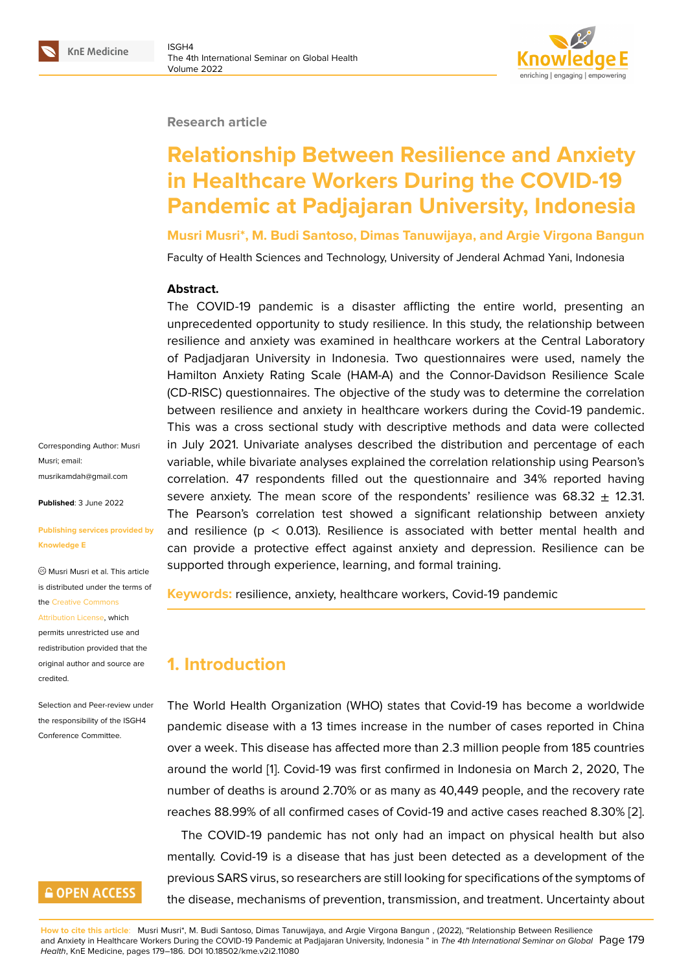#### **Research article**

# **Relationship Between Resilience and Anxiety in Healthcare Workers During the COVID-19 Pandemic at Padjajaran University, Indonesia**

**Musri Musri\*, M. Budi Santoso, Dimas Tanuwijaya, and Argie Virgona Bangun**

Faculty of Health Sciences and Technology, University of Jenderal Achmad Yani, Indonesia

#### **Abstract.**

The COVID-19 pandemic is a disaster afflicting the entire world, presenting an unprecedented opportunity to study resilience. In this study, the relationship between resilience and anxiety was examined in healthcare workers at the Central Laboratory of Padjadjaran University in Indonesia. Two questionnaires were used, namely the Hamilton Anxiety Rating Scale (HAM-A) and the Connor-Davidson Resilience Scale (CD-RISC) questionnaires. The objective of the study was to determine the correlation between resilience and anxiety in healthcare workers during the Covid-19 pandemic. This was a cross sectional study with descriptive methods and data were collected in July 2021. Univariate analyses described the distribution and percentage of each variable, while bivariate analyses explained the correlation relationship using Pearson's correlation. 47 respondents filled out the questionnaire and 34% reported having severe anxiety. The mean score of the respondents' resilience was 68.32  $\pm$  12.31. The Pearson's correlation test showed a significant relationship between anxiety and resilience ( $p < 0.013$ ). Resilience is associated with better mental health and can provide a protective effect against anxiety and depression. Resilience can be supported through experience, learning, and formal training.

**Keywords:** resilience, anxiety, healthcare workers, Covid-19 pandemic

# **1. Introduction**

The World Health Organization (WHO) states that Covid-19 has become a worldwide pandemic disease with a 13 times increase in the number of cases reported in China over a week. This disease has affected more than 2.3 million people from 185 countries around the world [1]. Covid-19 was first confirmed in Indonesia on March 2, 2020, The number of deaths is around 2.70% or as many as 40,449 people, and the recovery rate reaches 88.99% of all confirmed cases of Covid-19 and active cases reached 8.30% [2].

The COVID-19 [p](#page-6-0)andemic has not only had an impact on physical health but also mentally. Covid-19 is a disease that has just been detected as a development of the previous SARS virus, so researchers are still looking for specifications of the symptom[s o](#page-6-1)f the disease, mechanisms of prevention, transmission, and treatment. Uncertainty about

Corresponding Author: Musri Musri; email: musrikamdah@gmail.com

**Published**: 3 June 2022

#### **[Publishing services provi](mailto:musrikamdah@gmail.com)ded by Knowledge E**

Musri Musri et al. This article is distributed under the terms of the Creative Commons

Attribution License, which

permits unrestricted use and redistribution provided that the orig[inal author and sou](https://creativecommons.org/licenses/by/4.0/)rce are [credited.](https://creativecommons.org/licenses/by/4.0/)

#### Selection and Peer-review under the responsibility of the ISGH4 Conference Committee.

## **GOPEN ACCESS**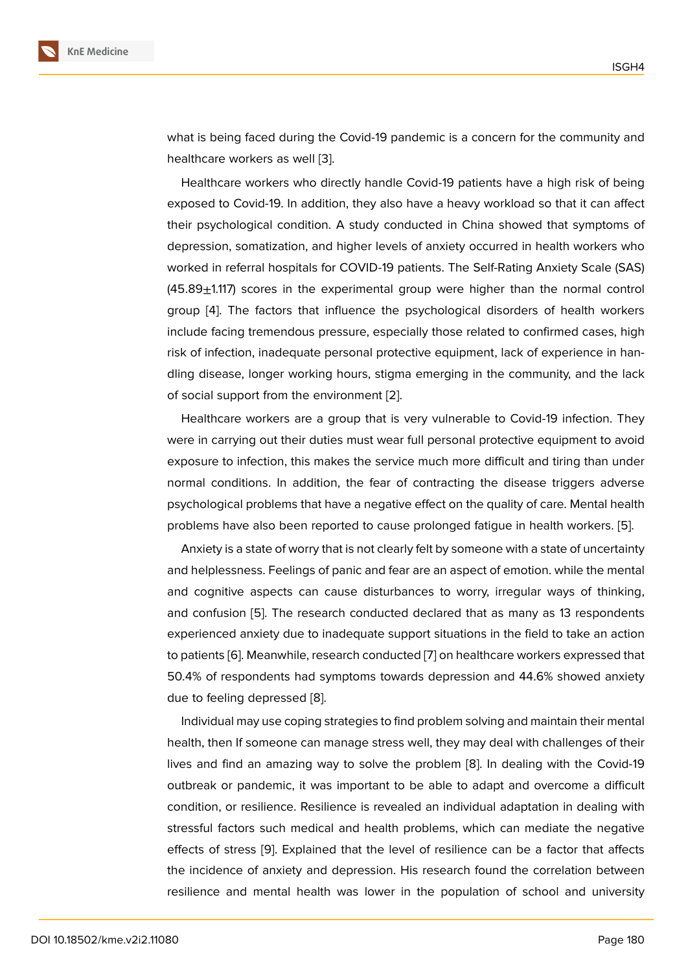what is being faced during the Covid-19 pandemic is a concern for the community and healthcare workers as well [3].

Healthcare workers who directly handle Covid-19 patients have a high risk of being exposed to Covid-19. In addition, they also have a heavy workload so that it can affect their psychological conditio[n.](#page-6-2) A study conducted in China showed that symptoms of depression, somatization, and higher levels of anxiety occurred in health workers who worked in referral hospitals for COVID-19 patients. The Self-Rating Anxiety Scale (SAS)  $(45.89<sub>\pm</sub>1.117)$  scores in the experimental group were higher than the normal control group [4]. The factors that influence the psychological disorders of health workers include facing tremendous pressure, especially those related to confirmed cases, high risk of infection, inadequate personal protective equipment, lack of experience in handling di[se](#page-6-3)ase, longer working hours, stigma emerging in the community, and the lack of social support from the environment [2].

Healthcare workers are a group that is very vulnerable to Covid-19 infection. They were in carrying out their duties must wear full personal protective equipment to avoid exposure to infection, this makes the se[rv](#page-6-1)ice much more difficult and tiring than under normal conditions. In addition, the fear of contracting the disease triggers adverse psychological problems that have a negative effect on the quality of care. Mental health problems have also been reported to cause prolonged fatigue in health workers. [5].

Anxiety is a state of worry that is not clearly felt by someone with a state of uncertainty and helplessness. Feelings of panic and fear are an aspect of emotion. while the mental and cognitive aspects can cause disturbances to worry, irregular ways of thin[kin](#page-6-4)g, and confusion [5]. The research conducted declared that as many as 13 respondents experienced anxiety due to inadequate support situations in the field to take an action to patients [6]. Meanwhile, research conducted [7] on healthcare workers expressed that 50.4% of respo[nd](#page-6-4)ents had symptoms towards depression and 44.6% showed anxiety due to feeling depressed [8].

Individu[al m](#page-6-5)ay use coping strategies to find p[ro](#page-6-6)blem solving and maintain their mental health, then If someone can manage stress well, they may deal with challenges of their lives and find an amazing [w](#page-6-7)ay to solve the problem [8]. In dealing with the Covid-19 outbreak or pandemic, it was important to be able to adapt and overcome a difficult condition, or resilience. Resilience is revealed an individual adaptation in dealing with stressful factors such medical and health problems, [wh](#page-6-7)ich can mediate the negative effects of stress [9]. Explained that the level of resilience can be a factor that affects the incidence of anxiety and depression. His research found the correlation between resilience and mental health was lower in the population of school and university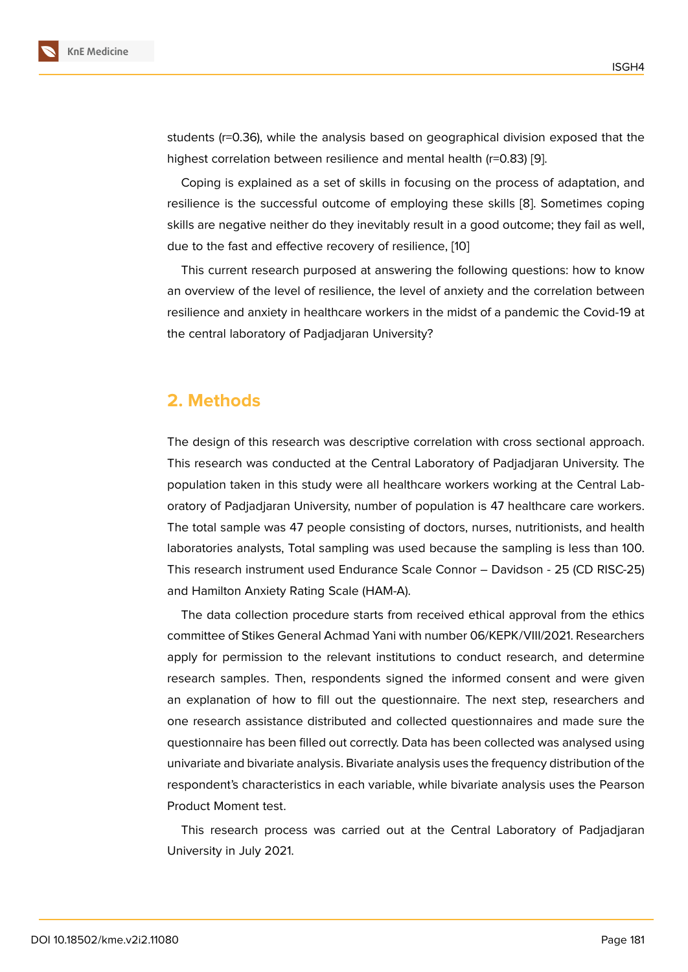students (r=0.36), while the analysis based on geographical division exposed that the highest correlation between resilience and mental health (r=0.83) [9].

Coping is explained as a set of skills in focusing on the process of adaptation, and resilience is the successful outcome of employing these skills [8]. Sometimes coping skills are negative neither do they inevitably result in a good outc[om](#page-7-0)e; they fail as well, due to the fast and effective recovery of resilience, [10]

This current research purposed at answering the following q[ue](#page-6-7)stions: how to know an overview of the level of resilience, the level of anxiety and the correlation between resilience and anxiety in healthcare workers in the [mid](#page-7-1)st of a pandemic the Covid-19 at the central laboratory of Padjadjaran University?

## **2. Methods**

The design of this research was descriptive correlation with cross sectional approach. This research was conducted at the Central Laboratory of Padjadjaran University. The population taken in this study were all healthcare workers working at the Central Laboratory of Padjadjaran University, number of population is 47 healthcare care workers. The total sample was 47 people consisting of doctors, nurses, nutritionists, and health laboratories analysts, Total sampling was used because the sampling is less than 100. This research instrument used Endurance Scale Connor – Davidson - 25 (CD RISC-25) and Hamilton Anxiety Rating Scale (HAM-A).

The data collection procedure starts from received ethical approval from the ethics committee of Stikes General Achmad Yani with number 06/KEPK/VIII/2021. Researchers apply for permission to the relevant institutions to conduct research, and determine research samples. Then, respondents signed the informed consent and were given an explanation of how to fill out the questionnaire. The next step, researchers and one research assistance distributed and collected questionnaires and made sure the questionnaire has been filled out correctly. Data has been collected was analysed using univariate and bivariate analysis. Bivariate analysis uses the frequency distribution of the respondent's characteristics in each variable, while bivariate analysis uses the Pearson Product Moment test.

This research process was carried out at the Central Laboratory of Padjadjaran University in July 2021.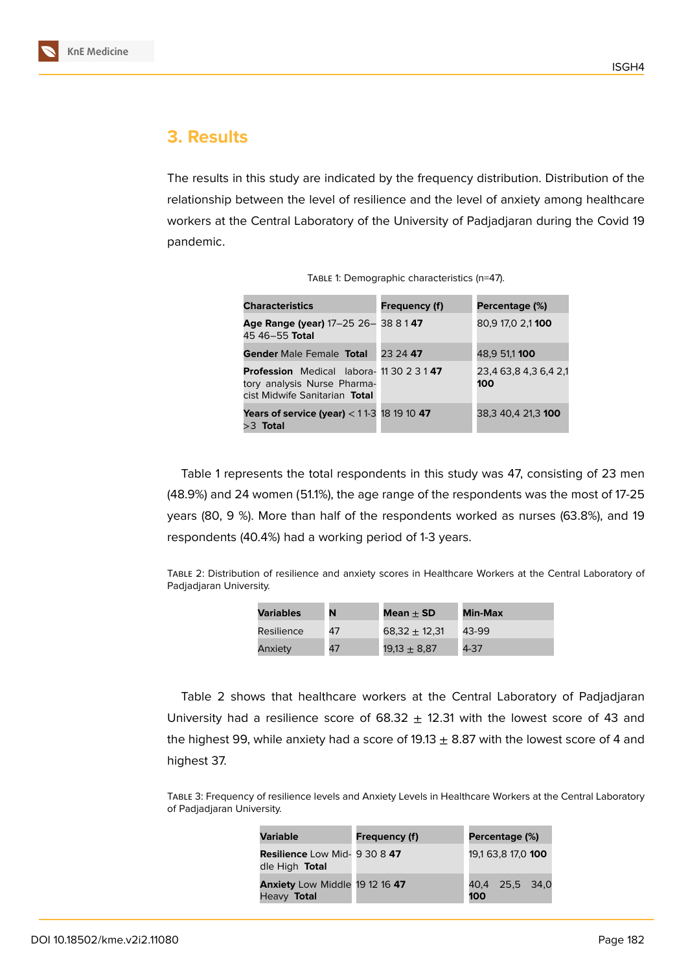

## **3. Results**

The results in this study are indicated by the frequency distribution. Distribution of the relationship between the level of resilience and the level of anxiety among healthcare workers at the Central Laboratory of the University of Padjadjaran during the Covid 19 pandemic.

|  | TABLE 1: Demographic characteristics (n=47). |  |
|--|----------------------------------------------|--|
|  |                                              |  |

| Frequency (f)                                              | Percentage (%)               |
|------------------------------------------------------------|------------------------------|
| Age Range (year) 17-25 26-38 8 147                         | 80,9 17,0 2,1 100            |
| 23 24 47                                                   | 48.9 51,1 100                |
| <b>Profession</b> Medical labora- 11 30 2 3 1 47           | 23,4 63,8 4,3 6,4 2,1<br>100 |
| <b>Years of service (year)</b> < $11-3$ 18 19 10 <b>47</b> | 38,3 40,4 21,3 100           |
|                                                            |                              |

Table 1 represents the total respondents in this study was 47, consisting of 23 men (48.9%) and 24 women (51.1%), the age range of the respondents was the most of 17-25 years (80, 9 %). More than half of the respondents worked as nurses (63.8%), and 19 respondents (40.4%) had a working period of 1-3 years.

Table 2: Distribution of resilience and anxiety scores in Healthcare Workers at the Central Laboratory of Padjadjaran University.

| Variables  | N  | Mean $+$ SD      | <b>Min-Max</b> |
|------------|----|------------------|----------------|
| Resilience | 47 | $68,32 + 12,31$  | 43-99          |
| Anxiety    | 47 | $19.13 \pm 8.87$ | 4-37           |

Table 2 shows that healthcare workers at the Central Laboratory of Padjadjaran University had a resilience score of  $68.32 \pm 12.31$  with the lowest score of 43 and the highest 99, while anxiety had a score of 19.13  $\pm$  8.87 with the lowest score of 4 and highest 37.

Table 3: Frequency of resilience levels and Anxiety Levels in Healthcare Workers at the Central Laboratory of Padjadjaran University.

| <b>Variable</b>                                        | <b>Frequency (f)</b> |     | Percentage (%)     |  |
|--------------------------------------------------------|----------------------|-----|--------------------|--|
| <b>Resilience Low Mid- 9 30 8 47</b><br>dle High Total |                      |     | 19,1 63,8 17,0 100 |  |
| <b>Anxiety</b> Low Middle 19 12 16 47<br>Heavy Total   |                      | 100 | 40,4 25,5 34,0     |  |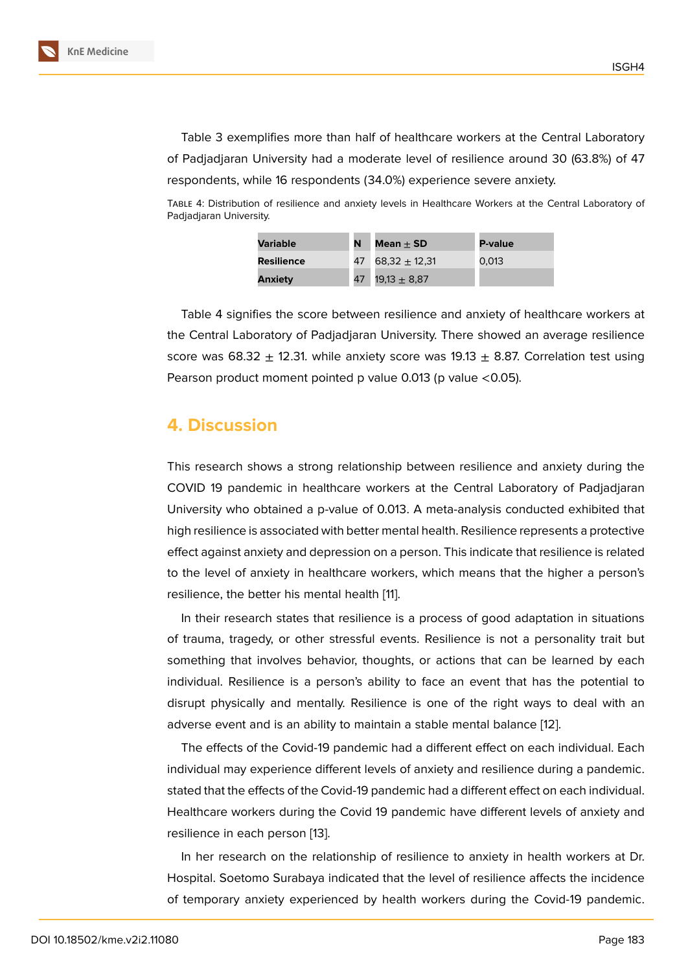Table 3 exemplifies more than half of healthcare workers at the Central Laboratory of Padjadjaran University had a moderate level of resilience around 30 (63.8%) of 47 respondents, while 16 respondents (34.0%) experience severe anxiety.

Table 4: Distribution of resilience and anxiety levels in Healthcare Workers at the Central Laboratory of Padjadjaran University.

| Variable          | N | Mean $+$ SD          | <b>P-value</b> |
|-------------------|---|----------------------|----------------|
| <b>Resilience</b> |   | 47 68,32 $\pm$ 12,31 | 0.013          |
| <b>Anxiety</b>    |   | 47 19,13 $\pm$ 8,87  |                |

Table 4 signifies the score between resilience and anxiety of healthcare workers at the Central Laboratory of Padjadjaran University. There showed an average resilience score was 68.32  $\pm$  12.31. while anxiety score was 19.13  $\pm$  8.87. Correlation test using Pearson product moment pointed p value 0.013 (p value  $<$  0.05).

#### **4. Discussion**

This research shows a strong relationship between resilience and anxiety during the COVID 19 pandemic in healthcare workers at the Central Laboratory of Padjadjaran University who obtained a p-value of 0.013. A meta-analysis conducted exhibited that high resilience is associated with better mental health. Resilience represents a protective effect against anxiety and depression on a person. This indicate that resilience is related to the level of anxiety in healthcare workers, which means that the higher a person's resilience, the better his mental health [11].

In their research states that resilience is a process of good adaptation in situations of trauma, tragedy, or other stressful events. Resilience is not a personality trait but something that involves behavior, tho[ugh](#page-7-2)ts, or actions that can be learned by each individual. Resilience is a person's ability to face an event that has the potential to disrupt physically and mentally. Resilience is one of the right ways to deal with an adverse event and is an ability to maintain a stable mental balance [12].

The effects of the Covid-19 pandemic had a different effect on each individual. Each individual may experience different levels of anxiety and resilience during a pandemic. stated that the effects of the Covid-19 pandemic had a different effect [on](#page-7-3) each individual. Healthcare workers during the Covid 19 pandemic have different levels of anxiety and resilience in each person [13].

In her research on the relationship of resilience to anxiety in health workers at Dr. Hospital. Soetomo Surabaya indicated that the level of resilience affects the incidence of temporary anxiety exp[erie](#page-7-4)nced by health workers during the Covid-19 pandemic.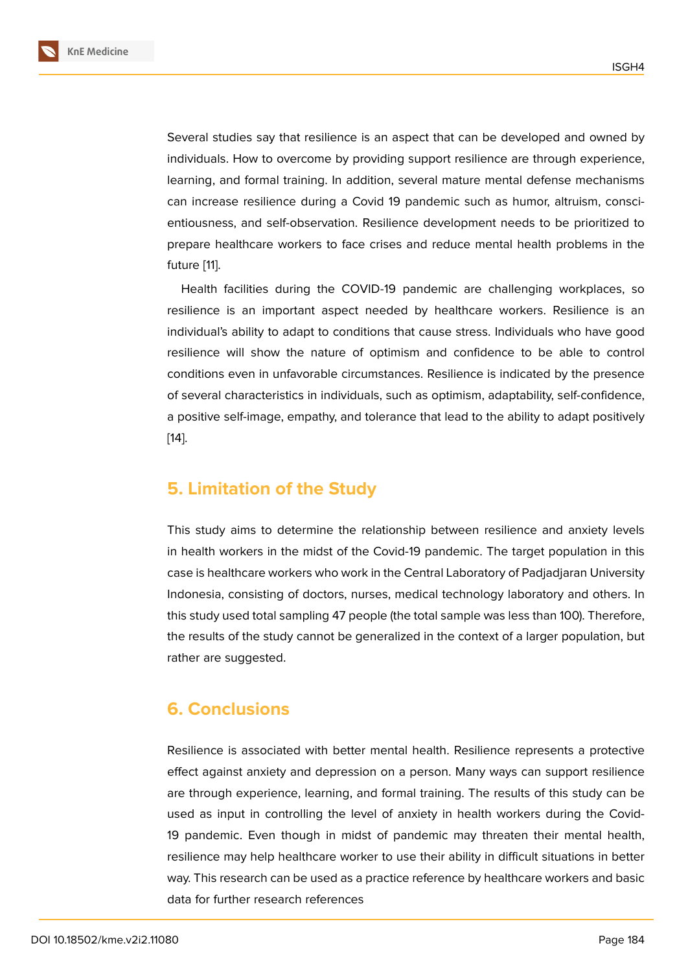Several studies say that resilience is an aspect that can be developed and owned by individuals. How to overcome by providing support resilience are through experience, learning, and formal training. In addition, several mature mental defense mechanisms can increase resilience during a Covid 19 pandemic such as humor, altruism, conscientiousness, and self-observation. Resilience development needs to be prioritized to prepare healthcare workers to face crises and reduce mental health problems in the future [11].

Health facilities during the COVID-19 pandemic are challenging workplaces, so resilience is an important aspect needed by healthcare workers. Resilience is an individ[ua](#page-7-2)l's ability to adapt to conditions that cause stress. Individuals who have good resilience will show the nature of optimism and confidence to be able to control conditions even in unfavorable circumstances. Resilience is indicated by the presence of several characteristics in individuals, such as optimism, adaptability, self-confidence, a positive self-image, empathy, and tolerance that lead to the ability to adapt positively [14].

#### **[5.](#page-7-5) Limitation of the Study**

This study aims to determine the relationship between resilience and anxiety levels in health workers in the midst of the Covid-19 pandemic. The target population in this case is healthcare workers who work in the Central Laboratory of Padjadjaran University Indonesia, consisting of doctors, nurses, medical technology laboratory and others. In this study used total sampling 47 people (the total sample was less than 100). Therefore, the results of the study cannot be generalized in the context of a larger population, but rather are suggested.

## **6. Conclusions**

Resilience is associated with better mental health. Resilience represents a protective effect against anxiety and depression on a person. Many ways can support resilience are through experience, learning, and formal training. The results of this study can be used as input in controlling the level of anxiety in health workers during the Covid-19 pandemic. Even though in midst of pandemic may threaten their mental health, resilience may help healthcare worker to use their ability in difficult situations in better way. This research can be used as a practice reference by healthcare workers and basic data for further research references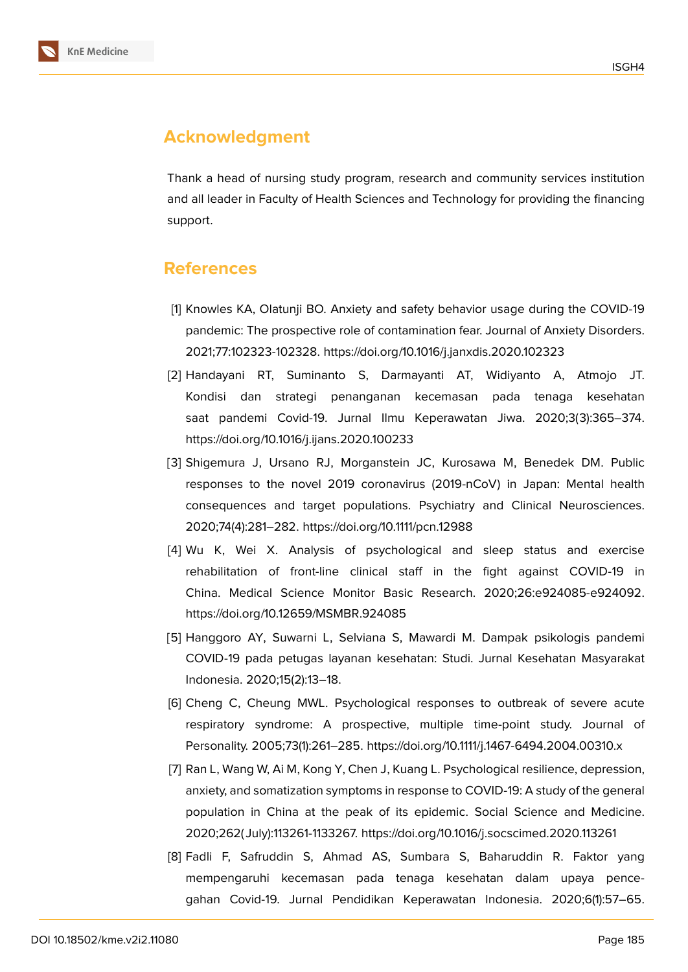

# **Acknowledgment**

Thank a head of nursing study program, research and community services institution and all leader in Faculty of Health Sciences and Technology for providing the financing support.

## **References**

- <span id="page-6-0"></span>[1] Knowles KA, Olatunji BO. Anxiety and safety behavior usage during the COVID-19 pandemic: The prospective role of contamination fear. Journal of Anxiety Disorders. 2021;77:102323-102328. https://doi.org/10.1016/j.janxdis.2020.102323
- <span id="page-6-1"></span>[2] Handayani RT, Suminanto S, Darmayanti AT, Widiyanto A, Atmojo JT. Kondisi dan strategi penanganan kecemasan pada tenaga kesehatan saat pandemi Covid-19. Jurnal Ilmu Keperawatan Jiwa. 2020;3(3):365–374. https://doi.org/10.1016/j.ijans.2020.100233
- <span id="page-6-2"></span>[3] Shigemura J, Ursano RJ, Morganstein JC, Kurosawa M, Benedek DM. Public responses to the novel 2019 coronavirus (2019-nCoV) in Japan: Mental health consequences and target populations. Psychiatry and Clinical Neurosciences. 2020;74(4):281–282. https://doi.org/10.1111/pcn.12988
- <span id="page-6-3"></span>[4] Wu K, Wei X. Analysis of psychological and sleep status and exercise rehabilitation of front-line clinical staff in the fight against COVID-19 in China. Medical Science Monitor Basic Research. 2020;26:e924085-e924092. https://doi.org/10.12659/MSMBR.924085
- <span id="page-6-4"></span>[5] Hanggoro AY, Suwarni L, Selviana S, Mawardi M. Dampak psikologis pandemi COVID-19 pada petugas layanan kesehatan: Studi. Jurnal Kesehatan Masyarakat Indonesia. 2020;15(2):13–18.
- <span id="page-6-5"></span>[6] Cheng C, Cheung MWL. Psychological responses to outbreak of severe acute respiratory syndrome: A prospective, multiple time-point study. Journal of Personality. 2005;73(1):261–285. https://doi.org/10.1111/j.1467-6494.2004.00310.x
- <span id="page-6-6"></span>[7] Ran L, Wang W, Ai M, Kong Y, Chen J, Kuang L. Psychological resilience, depression, anxiety, and somatization symptoms in response to COVID-19: A study of the general population in China at the peak of its epidemic. Social Science and Medicine. 2020;262( July):113261-1133267. https://doi.org/10.1016/j.socscimed.2020.113261
- <span id="page-6-7"></span>[8] Fadli F, Safruddin S, Ahmad AS, Sumbara S, Baharuddin R. Faktor yang mempengaruhi kecemasan pada tenaga kesehatan dalam upaya pencegahan Covid-19. Jurnal Pendidikan Keperawatan Indonesia. 2020;6(1):57–65.